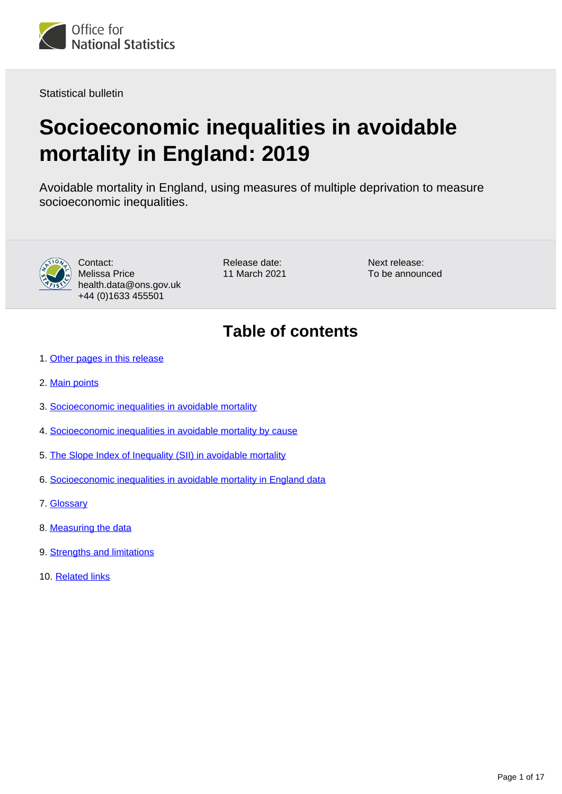

Statistical bulletin

# **Socioeconomic inequalities in avoidable mortality in England: 2019**

Avoidable mortality in England, using measures of multiple deprivation to measure socioeconomic inequalities.



Contact: Melissa Price health.data@ons.gov.uk +44 (0)1633 455501

Release date: 11 March 2021 Next release: To be announced

# **Table of contents**

- 1. [Other pages in this release](#page-1-0)
- 2. [Main points](#page-1-1)
- 3. [Socioeconomic inequalities in avoidable mortality](#page-1-2)
- 4. [Socioeconomic inequalities in avoidable mortality by cause](#page-4-0)
- 5. [The Slope Index of Inequality \(SII\) in avoidable mortality](#page-12-0)
- 6. [Socioeconomic inequalities in avoidable mortality in England data](#page-13-0)
- 7. [Glossary](#page-14-0)
- 8. [Measuring the data](#page-14-1)
- 9. [Strengths and limitations](#page-15-0)
- 10. [Related links](#page-16-0)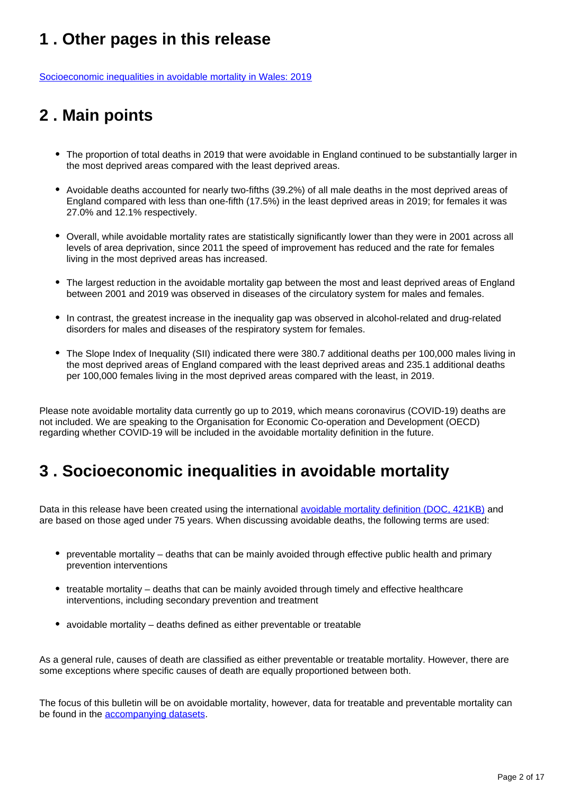# <span id="page-1-0"></span>**1 . Other pages in this release**

[Socioeconomic inequalities in avoidable mortality in Wales: 2019](https://www.ons.gov.uk/peoplepopulationandcommunity/birthsdeathsandmarriages/deaths/bulletins/socioeconomicinequalitiesinavoidablemortalityinwales/previousReleases)

# <span id="page-1-1"></span>**2 . Main points**

- The proportion of total deaths in 2019 that were avoidable in England continued to be substantially larger in the most deprived areas compared with the least deprived areas.
- Avoidable deaths accounted for nearly two-fifths (39.2%) of all male deaths in the most deprived areas of England compared with less than one-fifth (17.5%) in the least deprived areas in 2019; for females it was 27.0% and 12.1% respectively.
- Overall, while avoidable mortality rates are statistically significantly lower than they were in 2001 across all levels of area deprivation, since 2011 the speed of improvement has reduced and the rate for females living in the most deprived areas has increased.
- The largest reduction in the avoidable mortality gap between the most and least deprived areas of England between 2001 and 2019 was observed in diseases of the circulatory system for males and females.
- In contrast, the greatest increase in the inequality gap was observed in alcohol-related and drug-related disorders for males and diseases of the respiratory system for females.
- The Slope Index of Inequality (SII) indicated there were 380.7 additional deaths per 100,000 males living in the most deprived areas of England compared with the least deprived areas and 235.1 additional deaths per 100,000 females living in the most deprived areas compared with the least, in 2019.

Please note avoidable mortality data currently go up to 2019, which means coronavirus (COVID-19) deaths are not included. We are speaking to the Organisation for Economic Co-operation and Development (OECD) regarding whether COVID-19 will be included in the avoidable mortality definition in the future.

# <span id="page-1-2"></span>**3 . Socioeconomic inequalities in avoidable mortality**

Data in this release have been created using the international [avoidable mortality definition \(DOC, 421KB\)](https://consultations.ons.gov.uk/health-and-life-events/avoidable-mortality-definition/results/consultationresponse-reviewoftheavoidablemortalitydefinition_finalwithchangesimplemented.doc) and are based on those aged under 75 years. When discussing avoidable deaths, the following terms are used:

- preventable mortality deaths that can be mainly avoided through effective public health and primary prevention interventions
- treatable mortality deaths that can be mainly avoided through timely and effective healthcare interventions, including secondary prevention and treatment
- avoidable mortality deaths defined as either preventable or treatable

As a general rule, causes of death are classified as either preventable or treatable mortality. However, there are some exceptions where specific causes of death are equally proportioned between both.

The focus of this bulletin will be on avoidable mortality, however, data for treatable and preventable mortality can be found in the [accompanying datasets](https://www.ons.gov.uk/peoplepopulationandcommunity/healthandsocialcare/causesofdeath/datasets/measuringsocioeconomicinequalitiesinavoidablemortalityenglandanalysis).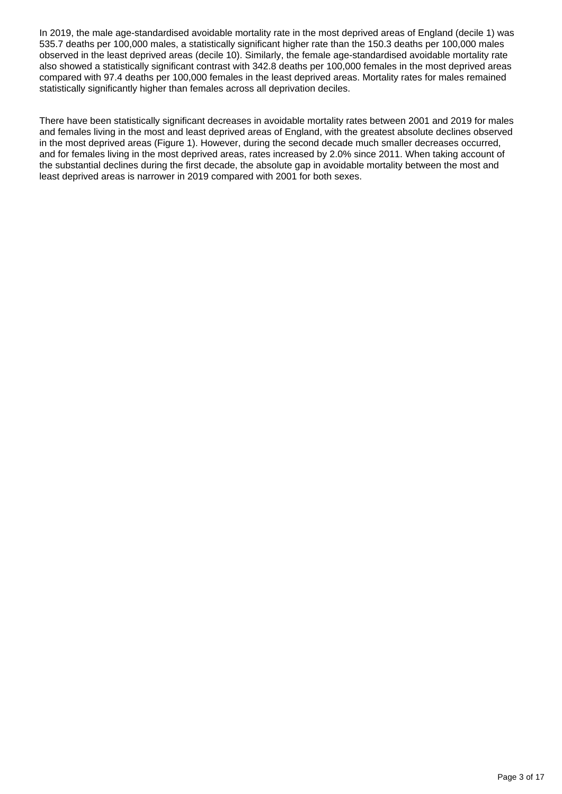In 2019, the male age-standardised avoidable mortality rate in the most deprived areas of England (decile 1) was 535.7 deaths per 100,000 males, a statistically significant higher rate than the 150.3 deaths per 100,000 males observed in the least deprived areas (decile 10). Similarly, the female age-standardised avoidable mortality rate also showed a statistically significant contrast with 342.8 deaths per 100,000 females in the most deprived areas compared with 97.4 deaths per 100,000 females in the least deprived areas. Mortality rates for males remained statistically significantly higher than females across all deprivation deciles.

There have been statistically significant decreases in avoidable mortality rates between 2001 and 2019 for males and females living in the most and least deprived areas of England, with the greatest absolute declines observed in the most deprived areas (Figure 1). However, during the second decade much smaller decreases occurred, and for females living in the most deprived areas, rates increased by 2.0% since 2011. When taking account of the substantial declines during the first decade, the absolute gap in avoidable mortality between the most and least deprived areas is narrower in 2019 compared with 2001 for both sexes.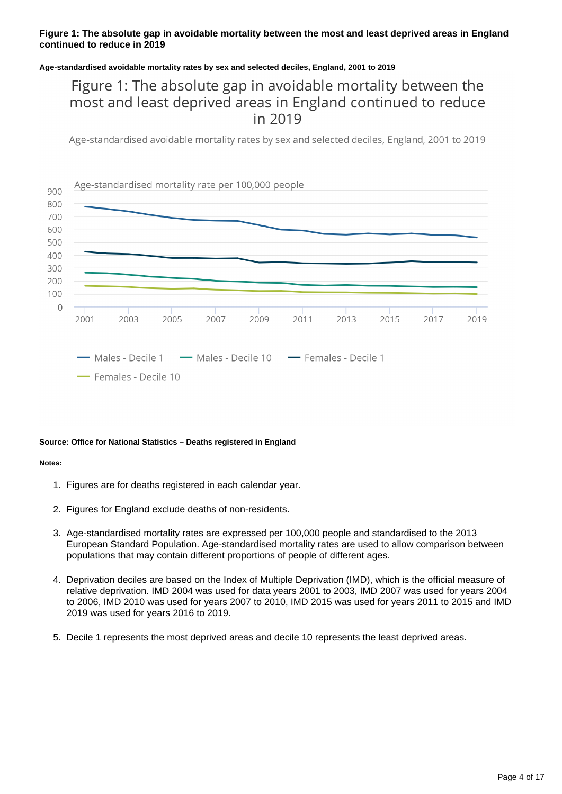#### **Figure 1: The absolute gap in avoidable mortality between the most and least deprived areas in England continued to reduce in 2019**

#### **Age-standardised avoidable mortality rates by sex and selected deciles, England, 2001 to 2019**

## Figure 1: The absolute gap in avoidable mortality between the most and least deprived areas in England continued to reduce in 2019

Age-standardised avoidable mortality rates by sex and selected deciles, England, 2001 to 2019



#### **Source: Office for National Statistics – Deaths registered in England**

#### **Notes:**

- 1. Figures are for deaths registered in each calendar year.
- 2. Figures for England exclude deaths of non-residents.
- 3. Age-standardised mortality rates are expressed per 100,000 people and standardised to the 2013 European Standard Population. Age-standardised mortality rates are used to allow comparison between populations that may contain different proportions of people of different ages.
- 4. Deprivation deciles are based on the Index of Multiple Deprivation (IMD), which is the official measure of relative deprivation. IMD 2004 was used for data years 2001 to 2003, IMD 2007 was used for years 2004 to 2006, IMD 2010 was used for years 2007 to 2010, IMD 2015 was used for years 2011 to 2015 and IMD 2019 was used for years 2016 to 2019.
- 5. Decile 1 represents the most deprived areas and decile 10 represents the least deprived areas.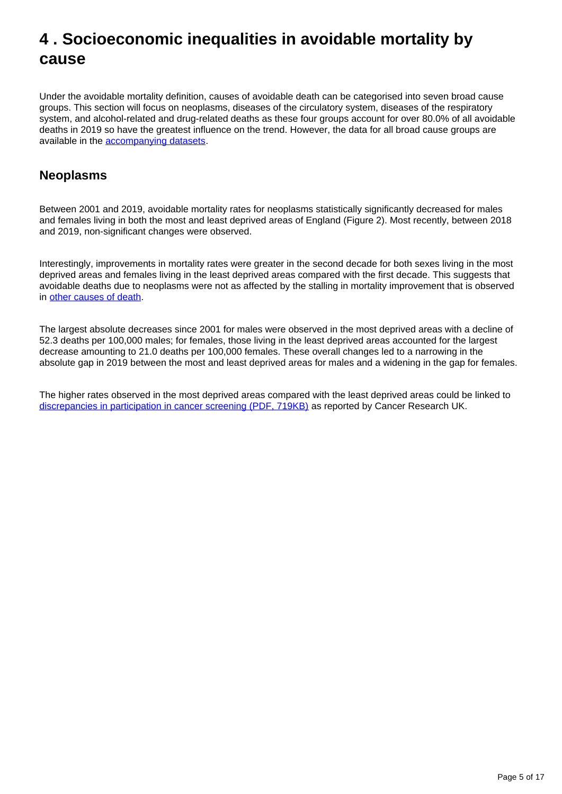# <span id="page-4-0"></span>**4 . Socioeconomic inequalities in avoidable mortality by cause**

Under the avoidable mortality definition, causes of avoidable death can be categorised into seven broad cause groups. This section will focus on neoplasms, diseases of the circulatory system, diseases of the respiratory system, and alcohol-related and drug-related deaths as these four groups account for over 80.0% of all avoidable deaths in 2019 so have the greatest influence on the trend. However, the data for all broad cause groups are available in the [accompanying datasets.](https://www.ons.gov.uk/peoplepopulationandcommunity/healthandsocialcare/causesofdeath/datasets/measuringsocioeconomicinequalitiesinavoidablemortalityenglandanalysis)

## **Neoplasms**

Between 2001 and 2019, avoidable mortality rates for neoplasms statistically significantly decreased for males and females living in both the most and least deprived areas of England (Figure 2). Most recently, between 2018 and 2019, non-significant changes were observed.

Interestingly, improvements in mortality rates were greater in the second decade for both sexes living in the most deprived areas and females living in the least deprived areas compared with the first decade. This suggests that avoidable deaths due to neoplasms were not as affected by the stalling in mortality improvement that is observed in [other causes of death.](https://www.ons.gov.uk/peoplepopulationandcommunity/birthsdeathsandmarriages/deaths/articles/changingtrendsinmortalitybyleadingcausesofdeathenglandandwales/2001to2018)

The largest absolute decreases since 2001 for males were observed in the most deprived areas with a decline of 52.3 deaths per 100,000 males; for females, those living in the least deprived areas accounted for the largest decrease amounting to 21.0 deaths per 100,000 females. These overall changes led to a narrowing in the absolute gap in 2019 between the most and least deprived areas for males and a widening in the gap for females.

The higher rates observed in the most deprived areas compared with the least deprived areas could be linked to [discrepancies in participation in cancer screening \(PDF, 719KB\)](https://www.cancerresearchuk.org/sites/default/files/cancer_inequalities_in_the_uk.pdf) as reported by Cancer Research UK.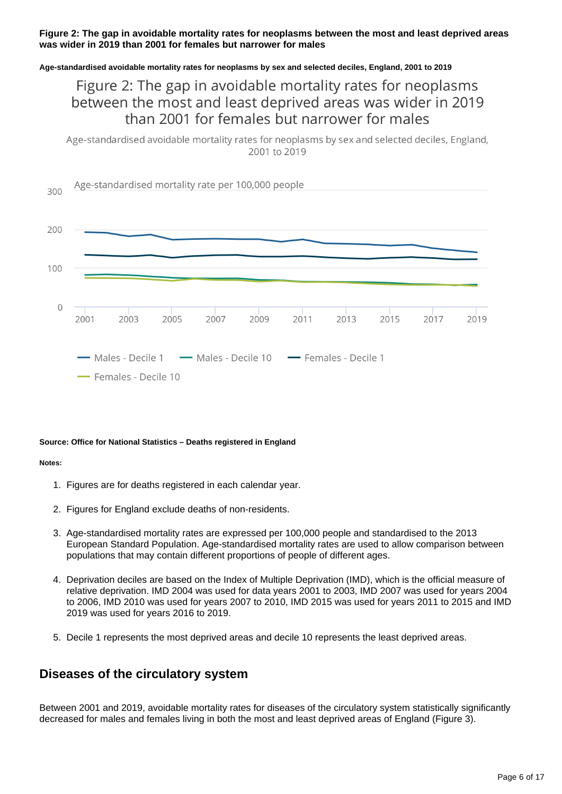#### **Figure 2: The gap in avoidable mortality rates for neoplasms between the most and least deprived areas was wider in 2019 than 2001 for females but narrower for males**

#### **Age-standardised avoidable mortality rates for neoplasms by sex and selected deciles, England, 2001 to 2019**

## Figure 2: The gap in avoidable mortality rates for neoplasms between the most and least deprived areas was wider in 2019 than 2001 for females but narrower for males

Age-standardised avoidable mortality rates for neoplasms by sex and selected deciles, England, 2001 to 2019



#### **Source: Office for National Statistics – Deaths registered in England**

#### **Notes:**

- 1. Figures are for deaths registered in each calendar year.
- 2. Figures for England exclude deaths of non-residents.
- 3. Age-standardised mortality rates are expressed per 100,000 people and standardised to the 2013 European Standard Population. Age-standardised mortality rates are used to allow comparison between populations that may contain different proportions of people of different ages.
- 4. Deprivation deciles are based on the Index of Multiple Deprivation (IMD), which is the official measure of relative deprivation. IMD 2004 was used for data years 2001 to 2003, IMD 2007 was used for years 2004 to 2006, IMD 2010 was used for years 2007 to 2010, IMD 2015 was used for years 2011 to 2015 and IMD 2019 was used for years 2016 to 2019.
- 5. Decile 1 represents the most deprived areas and decile 10 represents the least deprived areas.

### **Diseases of the circulatory system**

Between 2001 and 2019, avoidable mortality rates for diseases of the circulatory system statistically significantly decreased for males and females living in both the most and least deprived areas of England (Figure 3).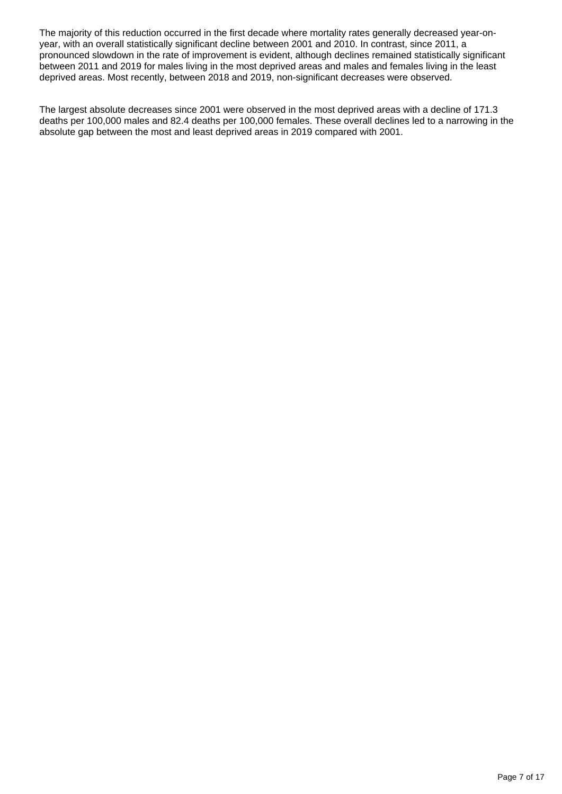The majority of this reduction occurred in the first decade where mortality rates generally decreased year-onyear, with an overall statistically significant decline between 2001 and 2010. In contrast, since 2011, a pronounced slowdown in the rate of improvement is evident, although declines remained statistically significant between 2011 and 2019 for males living in the most deprived areas and males and females living in the least deprived areas. Most recently, between 2018 and 2019, non-significant decreases were observed.

The largest absolute decreases since 2001 were observed in the most deprived areas with a decline of 171.3 deaths per 100,000 males and 82.4 deaths per 100,000 females. These overall declines led to a narrowing in the absolute gap between the most and least deprived areas in 2019 compared with 2001.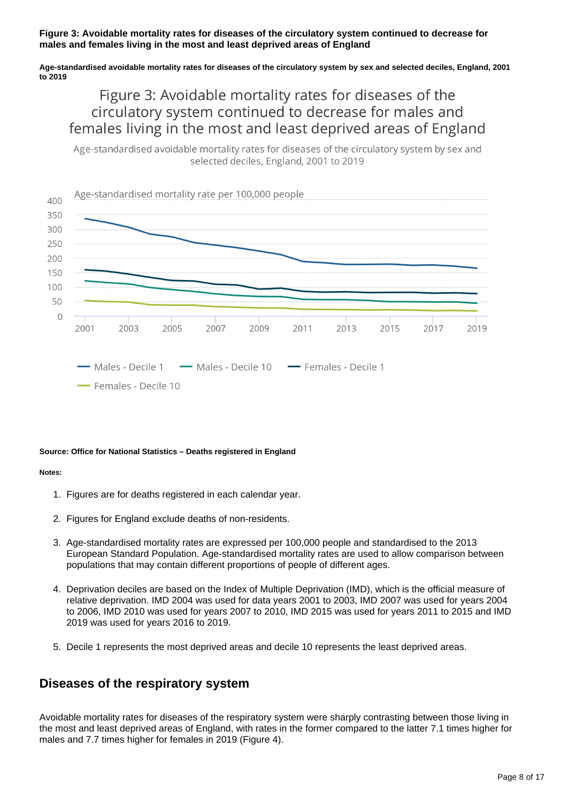#### **Figure 3: Avoidable mortality rates for diseases of the circulatory system continued to decrease for males and females living in the most and least deprived areas of England**

#### **Age-standardised avoidable mortality rates for diseases of the circulatory system by sex and selected deciles, England, 2001 to 2019**

# Figure 3: Avoidable mortality rates for diseases of the circulatory system continued to decrease for males and females living in the most and least deprived areas of England

Age-standardised avoidable mortality rates for diseases of the circulatory system by sex and selected deciles, England, 2001 to 2019



#### **Source: Office for National Statistics – Deaths registered in England**

#### **Notes:**

- 1. Figures are for deaths registered in each calendar year.
- 2. Figures for England exclude deaths of non-residents.
- 3. Age-standardised mortality rates are expressed per 100,000 people and standardised to the 2013 European Standard Population. Age-standardised mortality rates are used to allow comparison between populations that may contain different proportions of people of different ages.
- 4. Deprivation deciles are based on the Index of Multiple Deprivation (IMD), which is the official measure of relative deprivation. IMD 2004 was used for data years 2001 to 2003, IMD 2007 was used for years 2004 to 2006, IMD 2010 was used for years 2007 to 2010, IMD 2015 was used for years 2011 to 2015 and IMD 2019 was used for years 2016 to 2019.
- 5. Decile 1 represents the most deprived areas and decile 10 represents the least deprived areas.

### **Diseases of the respiratory system**

Avoidable mortality rates for diseases of the respiratory system were sharply contrasting between those living in the most and least deprived areas of England, with rates in the former compared to the latter 7.1 times higher for males and 7.7 times higher for females in 2019 (Figure 4).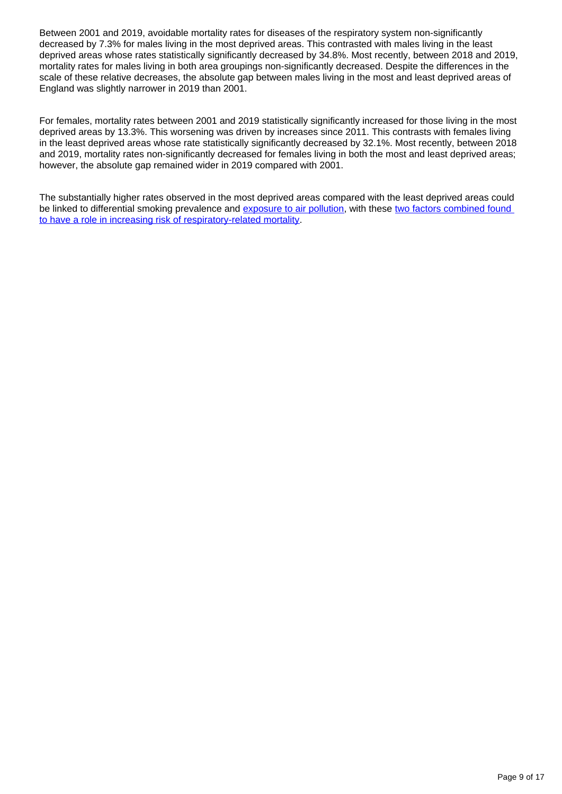Between 2001 and 2019, avoidable mortality rates for diseases of the respiratory system non-significantly decreased by 7.3% for males living in the most deprived areas. This contrasted with males living in the least deprived areas whose rates statistically significantly decreased by 34.8%. Most recently, between 2018 and 2019, mortality rates for males living in both area groupings non-significantly decreased. Despite the differences in the scale of these relative decreases, the absolute gap between males living in the most and least deprived areas of England was slightly narrower in 2019 than 2001.

For females, mortality rates between 2001 and 2019 statistically significantly increased for those living in the most deprived areas by 13.3%. This worsening was driven by increases since 2011. This contrasts with females living in the least deprived areas whose rate statistically significantly decreased by 32.1%. Most recently, between 2018 and 2019, mortality rates non-significantly decreased for females living in both the most and least deprived areas; however, the absolute gap remained wider in 2019 compared with 2001.

The substantially higher rates observed in the most deprived areas compared with the least deprived areas could be linked to differential smoking prevalence and [exposure to air pollution,](https://www.gov.uk/government/publications/health-matters-air-pollution/health-matters-air-pollution) with these two factors combined found [to have a role in increasing risk of respiratory-related mortality.](https://bmjopen.bmj.com/content/4/7/e005393)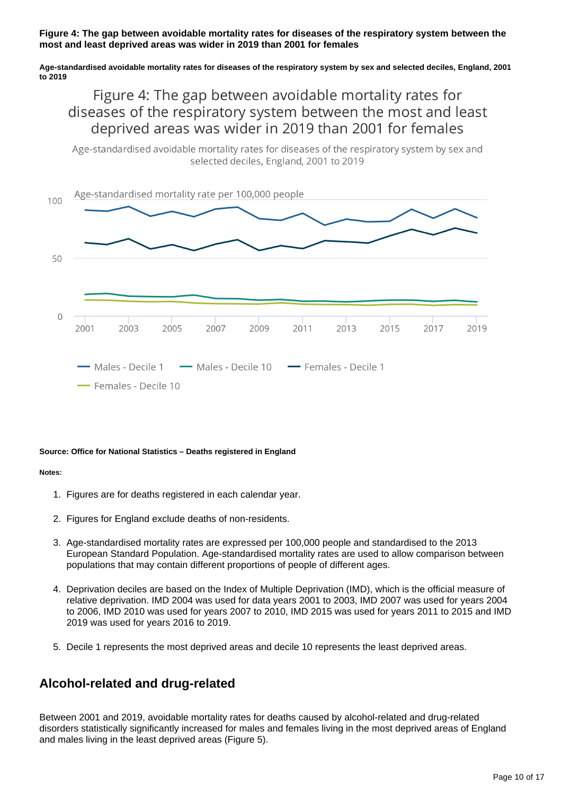#### **Figure 4: The gap between avoidable mortality rates for diseases of the respiratory system between the most and least deprived areas was wider in 2019 than 2001 for females**

**Age-standardised avoidable mortality rates for diseases of the respiratory system by sex and selected deciles, England, 2001 to 2019**

## Figure 4: The gap between avoidable mortality rates for diseases of the respiratory system between the most and least deprived areas was wider in 2019 than 2001 for females

Age-standardised avoidable mortality rates for diseases of the respiratory system by sex and selected deciles, England, 2001 to 2019



#### **Source: Office for National Statistics – Deaths registered in England**

#### **Notes:**

- 1. Figures are for deaths registered in each calendar year.
- 2. Figures for England exclude deaths of non-residents.
- 3. Age-standardised mortality rates are expressed per 100,000 people and standardised to the 2013 European Standard Population. Age-standardised mortality rates are used to allow comparison between populations that may contain different proportions of people of different ages.
- 4. Deprivation deciles are based on the Index of Multiple Deprivation (IMD), which is the official measure of relative deprivation. IMD 2004 was used for data years 2001 to 2003, IMD 2007 was used for years 2004 to 2006, IMD 2010 was used for years 2007 to 2010, IMD 2015 was used for years 2011 to 2015 and IMD 2019 was used for years 2016 to 2019.
- 5. Decile 1 represents the most deprived areas and decile 10 represents the least deprived areas.

### **Alcohol-related and drug-related**

Between 2001 and 2019, avoidable mortality rates for deaths caused by alcohol-related and drug-related disorders statistically significantly increased for males and females living in the most deprived areas of England and males living in the least deprived areas (Figure 5).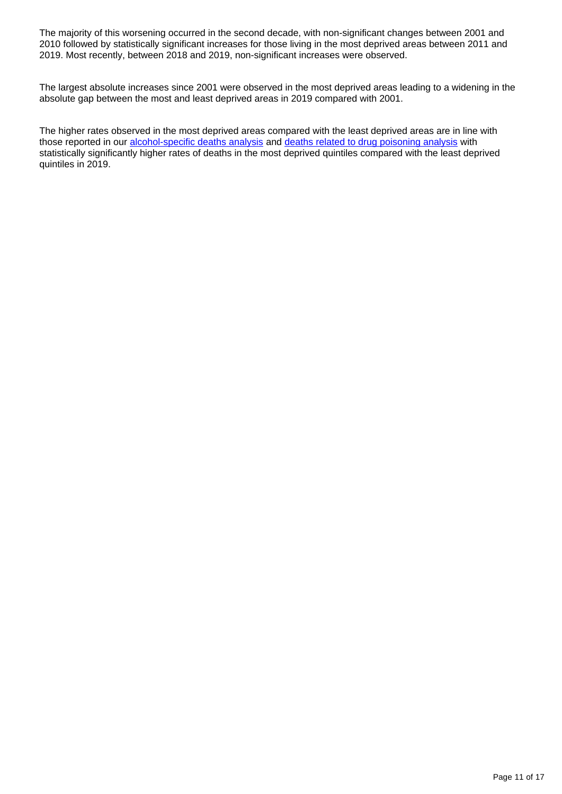The majority of this worsening occurred in the second decade, with non-significant changes between 2001 and 2010 followed by statistically significant increases for those living in the most deprived areas between 2011 and 2019. Most recently, between 2018 and 2019, non-significant increases were observed.

The largest absolute increases since 2001 were observed in the most deprived areas leading to a widening in the absolute gap between the most and least deprived areas in 2019 compared with 2001.

The higher rates observed in the most deprived areas compared with the least deprived areas are in line with those reported in our [alcohol-specific deaths analysis](https://www.ons.gov.uk/peoplepopulationandcommunity/healthandsocialcare/causesofdeath/datasets/alcoholspecificdeathsintheunitedkingdomsupplementarydatatables) and [deaths related to drug poisoning analysis](https://www.ons.gov.uk/peoplepopulationandcommunity/birthsdeathsandmarriages/deaths/bulletins/deathsrelatedtodrugpoisoninginenglandandwales/2019registrations#drug-poisonings-and-deprivation) with statistically significantly higher rates of deaths in the most deprived quintiles compared with the least deprived quintiles in 2019.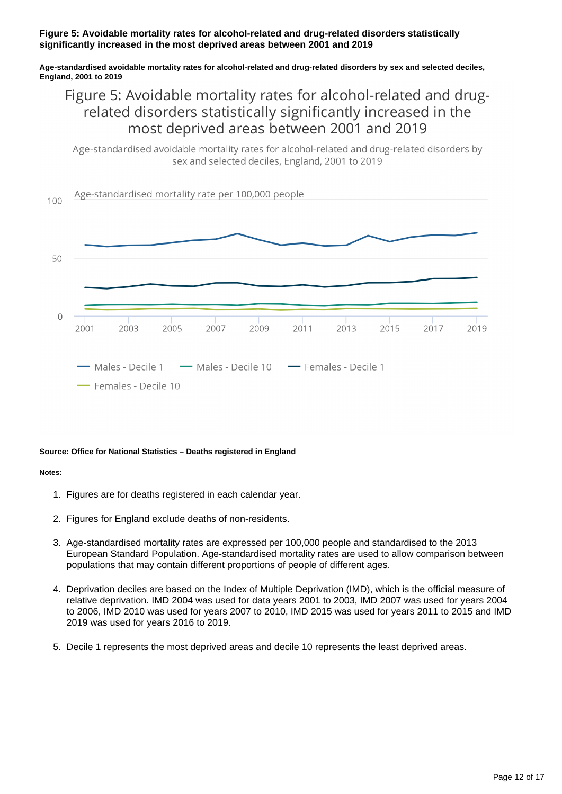#### **Figure 5: Avoidable mortality rates for alcohol-related and drug-related disorders statistically significantly increased in the most deprived areas between 2001 and 2019**

**Age-standardised avoidable mortality rates for alcohol-related and drug-related disorders by sex and selected deciles, England, 2001 to 2019**

## Figure 5: Avoidable mortality rates for alcohol-related and drugrelated disorders statistically significantly increased in the most deprived areas between 2001 and 2019

Age-standardised avoidable mortality rates for alcohol-related and drug-related disorders by sex and selected deciles. England, 2001 to 2019



#### **Source: Office for National Statistics – Deaths registered in England**

#### **Notes:**

- 1. Figures are for deaths registered in each calendar year.
- 2. Figures for England exclude deaths of non-residents.
- 3. Age-standardised mortality rates are expressed per 100,000 people and standardised to the 2013 European Standard Population. Age-standardised mortality rates are used to allow comparison between populations that may contain different proportions of people of different ages.
- 4. Deprivation deciles are based on the Index of Multiple Deprivation (IMD), which is the official measure of relative deprivation. IMD 2004 was used for data years 2001 to 2003, IMD 2007 was used for years 2004 to 2006, IMD 2010 was used for years 2007 to 2010, IMD 2015 was used for years 2011 to 2015 and IMD 2019 was used for years 2016 to 2019.
- 5. Decile 1 represents the most deprived areas and decile 10 represents the least deprived areas.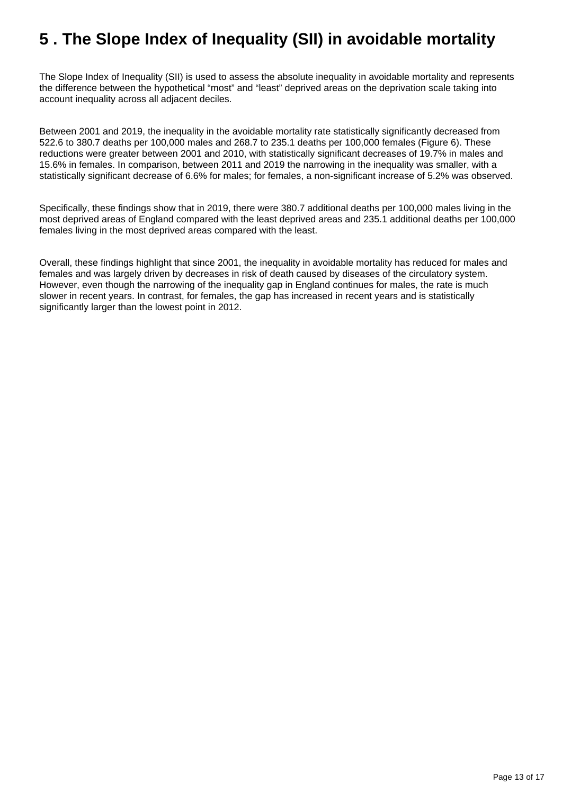# <span id="page-12-0"></span>**5 . The Slope Index of Inequality (SII) in avoidable mortality**

The Slope Index of Inequality (SII) is used to assess the absolute inequality in avoidable mortality and represents the difference between the hypothetical "most" and "least" deprived areas on the deprivation scale taking into account inequality across all adjacent deciles.

Between 2001 and 2019, the inequality in the avoidable mortality rate statistically significantly decreased from 522.6 to 380.7 deaths per 100,000 males and 268.7 to 235.1 deaths per 100,000 females (Figure 6). These reductions were greater between 2001 and 2010, with statistically significant decreases of 19.7% in males and 15.6% in females. In comparison, between 2011 and 2019 the narrowing in the inequality was smaller, with a statistically significant decrease of 6.6% for males; for females, a non-significant increase of 5.2% was observed.

Specifically, these findings show that in 2019, there were 380.7 additional deaths per 100,000 males living in the most deprived areas of England compared with the least deprived areas and 235.1 additional deaths per 100,000 females living in the most deprived areas compared with the least.

Overall, these findings highlight that since 2001, the inequality in avoidable mortality has reduced for males and females and was largely driven by decreases in risk of death caused by diseases of the circulatory system. However, even though the narrowing of the inequality gap in England continues for males, the rate is much slower in recent years. In contrast, for females, the gap has increased in recent years and is statistically significantly larger than the lowest point in 2012.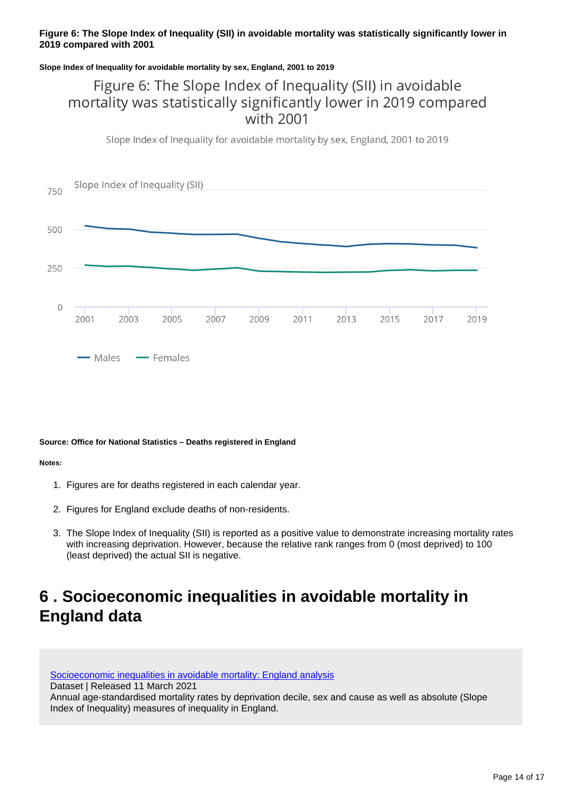#### **Figure 6: The Slope Index of Inequality (SII) in avoidable mortality was statistically significantly lower in 2019 compared with 2001**

#### **Slope Index of Inequality for avoidable mortality by sex, England, 2001 to 2019**

## Figure 6: The Slope Index of Inequality (SII) in avoidable mortality was statistically significantly lower in 2019 compared with 2001

Slope Index of Inequality for avoidable mortality by sex, England, 2001 to 2019



#### **Source: Office for National Statistics – Deaths registered in England**

#### **Notes:**

- 1. Figures are for deaths registered in each calendar year.
- 2. Figures for England exclude deaths of non-residents.
- 3. The Slope Index of Inequality (SII) is reported as a positive value to demonstrate increasing mortality rates with increasing deprivation. However, because the relative rank ranges from 0 (most deprived) to 100 (least deprived) the actual SII is negative.

# <span id="page-13-0"></span>**6 . Socioeconomic inequalities in avoidable mortality in England data**

[Socioeconomic inequalities in avoidable mortality: England analysis](https://www.ons.gov.uk/peoplepopulationandcommunity/healthandsocialcare/causesofdeath/datasets/measuringsocioeconomicinequalitiesinavoidablemortalityenglandanalysis) Dataset | Released 11 March 2021 Annual age-standardised mortality rates by deprivation decile, sex and cause as well as absolute (Slope Index of Inequality) measures of inequality in England.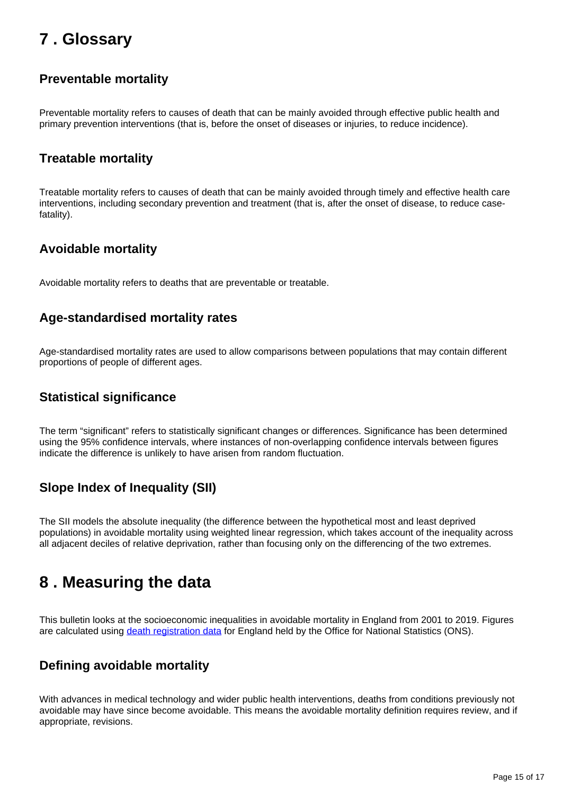# <span id="page-14-0"></span>**7 . Glossary**

### **Preventable mortality**

Preventable mortality refers to causes of death that can be mainly avoided through effective public health and primary prevention interventions (that is, before the onset of diseases or injuries, to reduce incidence).

### **Treatable mortality**

Treatable mortality refers to causes of death that can be mainly avoided through timely and effective health care interventions, including secondary prevention and treatment (that is, after the onset of disease, to reduce casefatality).

## **Avoidable mortality**

Avoidable mortality refers to deaths that are preventable or treatable.

### **Age-standardised mortality rates**

Age-standardised mortality rates are used to allow comparisons between populations that may contain different proportions of people of different ages.

### **Statistical significance**

The term "significant" refers to statistically significant changes or differences. Significance has been determined using the 95% confidence intervals, where instances of non-overlapping confidence intervals between figures indicate the difference is unlikely to have arisen from random fluctuation.

## **Slope Index of Inequality (SII)**

The SII models the absolute inequality (the difference between the hypothetical most and least deprived populations) in avoidable mortality using weighted linear regression, which takes account of the inequality across all adjacent deciles of relative deprivation, rather than focusing only on the differencing of the two extremes.

# <span id="page-14-1"></span>**8 . Measuring the data**

This bulletin looks at the socioeconomic inequalities in avoidable mortality in England from 2001 to 2019. Figures are calculated using [death registration data](https://www.ons.gov.uk/peoplepopulationandcommunity/birthsdeathsandmarriages/deaths/bulletins/deathsregistrationsummarytables/previousReleases) for England held by the Office for National Statistics (ONS).

## **Defining avoidable mortality**

With advances in medical technology and wider public health interventions, deaths from conditions previously not avoidable may have since become avoidable. This means the avoidable mortality definition requires review, and if appropriate, revisions.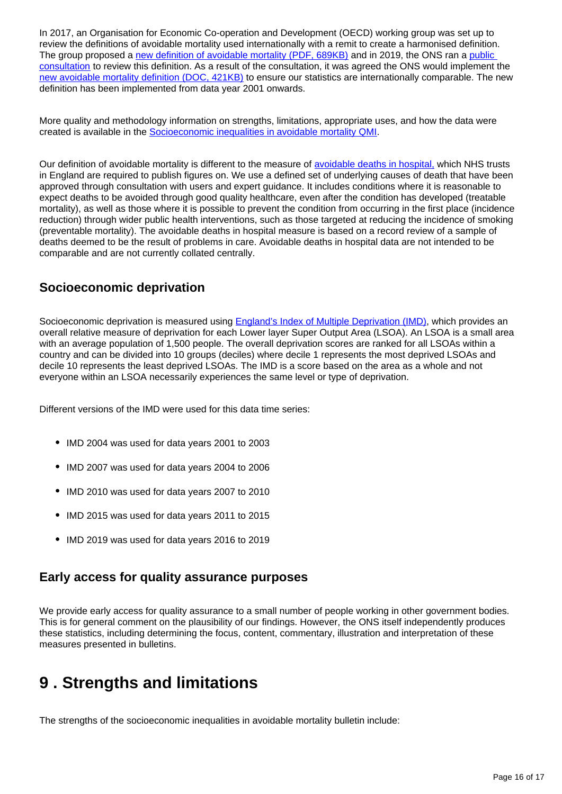In 2017, an Organisation for Economic Co-operation and Development (OECD) working group was set up to review the definitions of avoidable mortality used internationally with a remit to create a harmonised definition. The group proposed a [new definition of avoidable mortality \(PDF, 689KB\)](http://www.oecd.org/health/health-systems/Avoidable-mortality-2019-Joint-OECD-Eurostat-List-preventable-treatable-causes-of-death.pdf) and in 2019, the ONS ran a public [consultation](https://consultations.ons.gov.uk/health-and-life-events/avoidable-mortality-definition/) to review this definition. As a result of the consultation, it was agreed the ONS would implement the [new avoidable mortality definition \(DOC, 421KB\)](https://consultations.ons.gov.uk/health-and-life-events/avoidable-mortality-definition/results/consultationresponse-reviewoftheavoidablemortalitydefinition_finalwithchangesimplemented.doc) to ensure our statistics are internationally comparable. The new definition has been implemented from data year 2001 onwards.

More quality and methodology information on strengths, limitations, appropriate uses, and how the data were created is available in the [Socioeconomic inequalities in avoidable mortality QMI](https://www.ons.gov.uk/peoplepopulationandcommunity/healthandsocialcare/causesofdeath/methodologies/socioeconomicinequalitiesinavoidablemortalityqmi).

Our definition of avoidable mortality is different to the measure of [avoidable deaths in hospital,](https://www.gov.uk/government/news/nhs-becomes-first-healthcare-system-in-the-world-to-publish-numbers-of-avoidable-deaths) which NHS trusts in England are required to publish figures on. We use a defined set of underlying causes of death that have been approved through consultation with users and expert guidance. It includes conditions where it is reasonable to expect deaths to be avoided through good quality healthcare, even after the condition has developed (treatable mortality), as well as those where it is possible to prevent the condition from occurring in the first place (incidence reduction) through wider public health interventions, such as those targeted at reducing the incidence of smoking (preventable mortality). The avoidable deaths in hospital measure is based on a record review of a sample of deaths deemed to be the result of problems in care. Avoidable deaths in hospital data are not intended to be comparable and are not currently collated centrally.

### **Socioeconomic deprivation**

Socioeconomic deprivation is measured using **England's Index of Multiple Deprivation (IMD)**, which provides an overall relative measure of deprivation for each Lower layer Super Output Area (LSOA). An LSOA is a small area with an average population of 1,500 people. The overall deprivation scores are ranked for all LSOAs within a country and can be divided into 10 groups (deciles) where decile 1 represents the most deprived LSOAs and decile 10 represents the least deprived LSOAs. The IMD is a score based on the area as a whole and not everyone within an LSOA necessarily experiences the same level or type of deprivation.

Different versions of the IMD were used for this data time series:

- IMD 2004 was used for data years 2001 to 2003
- IMD 2007 was used for data years 2004 to 2006
- IMD 2010 was used for data years 2007 to 2010
- IMD 2015 was used for data years 2011 to 2015
- IMD 2019 was used for data years 2016 to 2019

### **Early access for quality assurance purposes**

We provide early access for quality assurance to a small number of people working in other government bodies. This is for general comment on the plausibility of our findings. However, the ONS itself independently produces these statistics, including determining the focus, content, commentary, illustration and interpretation of these measures presented in bulletins.

# <span id="page-15-0"></span>**9 . Strengths and limitations**

The strengths of the socioeconomic inequalities in avoidable mortality bulletin include: